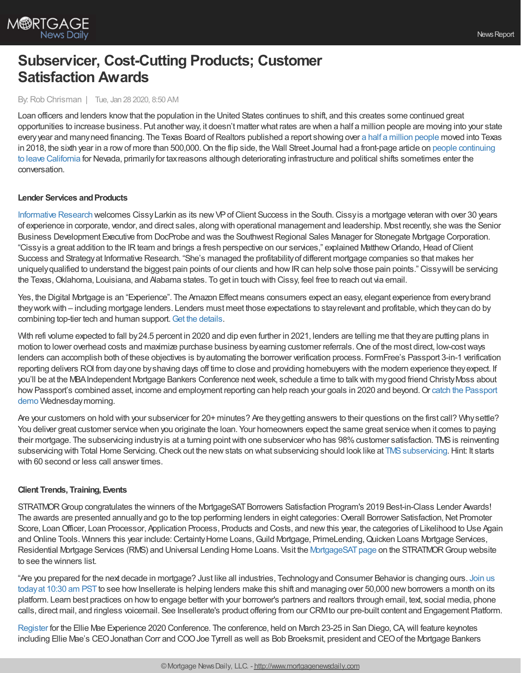

# **Subservicer, Cost-Cutting Products; Customer Satisfaction Awards**

### By:Rob Chrisman | Tue, Jan 28 2020, 8:50 AM

Loan officers and lenders knowthat the population in the United States continues to shift, and this creates some continued great opportunities to increase business. Put another way, it doesn't matter what rates are when a half a million people are moving into your state every year and many need financing. The Texas Board of Realtors published a report showing over a half a million [people](https://www.texasrealestate.com/wp-content/uploads/2020RelocationReport.pdf) moved into Texas in 2018, the sixth year in a row of more than 500,000. On the flip side, the Wall Street Journal had a front-page article on people continuing to leave California for Nevada, primarilyfor taxreasons although deteriorating [infrastructure](https://www.wsj.com/articles/so-long-california-goodbye-texas-taxpayers-decide-some-states-arent-worth-it-11579948200) and political shifts sometimes enter the conversation.

### **Lender Services and Products**

[Informative](http://www.informativeresearch.com/) Research welcomes CissyLarkin as its newVPofClient Success in the South.Cissyis a mortgage veteran with over 30 years of experience in corporate, vendor, and direct sales, along with operational management and leadership. Most recently, she was the Senior Business Development Executive from DocProbe and was the Southwest Regional Sales Manager for Stonegate Mortgage Corporation. "Cissyis a great addition to the IR team and brings a fresh perspective on our services," explained Matthew Orlando, Head of Client Success and Strategyat Informative Research. "She's managed the profitabilityof different mortgage companies so that makes her uniquely qualified to understand the biggest pain points of our clients and how IR can help solve those pain points." Cissy will be servicing the Texas, Oklahoma, Louisiana, and Alabama states. To get in touch with Cissy, feel free to reach out via email.

Yes, the Digital Mortgage is an "Experience". The Amazon Effect means consumers expect an easy, elegant experience from everybrand they work with – including mortgage lenders. Lenders must meet those expectations to stay relevant and profitable, which they can do by combining top-tier tech and human support.Get the [details.](https://www.cloudvirga.com/blog/yes-digital-mortgage-is-experience/?utm_source=chrisman&utm_medium=newsletter&utm_campaign=yes-digital-mortgage-is-experience)

With refi volume expected to fall by 24.5 percent in 2020 and dip even further in 2021, lenders are telling me that they are putting plans in motion to lower overhead costs and maximize purchase business byearning customer referrals.One of the most direct, low-costways lenders can accomplish both of these objectives is byautomating the borrower verification process. FormFree's Passport 3-in-1 verification reporting delivers ROI from day one by shaving days off time to close and providing homebuyers with the modern experience they expect. If you'll be at the MBAIndependent Mortgage Bankers Conference nextweek, schedule a time to talkwith mygood friend ChristyMoss about how Passport's combined asset, income and employment reporting can help reach your goals in 2020 and beyond. Or catch the Passport demo [Wednesdaymorning.](https://www.mba.org/conferences-and-education/event-mini-sites/independent-mortgage-bankers-conference/schedule?id=12754_690691&expand=true)

Are your customers on hold with your subservicer for 20+ minutes? Are they getting answers to their questions on the first call? Why settle? You deliver great customer service when you originate the loan. Your homeowners expect the same great service when it comes to paying their mortgage. The subservicing industry is at a turning point with one subservicer who has 98% customer satisfaction. TMS is reinventing subservicing with Total Home Servicing. Check out the new stats on what subservicing should look like at TMS subservicing. Hint: It starts with 60 second or less call answer times.

# **Client Trends, Training, Events**

STRATMOR Group congratulates the winners of the MortgageSAT Borrowers Satisfaction Program's 2019 Best-in-Class Lender Awards! The awards are presented annually and go to the top performing lenders in eight categories: Overall Borrower Satisfaction, Net Promoter Score, Loan Officer, Loan Processor, Application Process, Products and Costs, and new this year, the categories of Likelihood to Use Again and Online Tools. Winners this year include: Certainty Home Loans, Guild Mortgage, PrimeLending, Quicken Loans Mortgage Services, Residential Mortgage Services (RMS) and Universal Lending Home Loans. Visit the MortgageSAT page on the STRATMOR Group website to see the winners list.

"Are you prepared for the next decade in mortgage? Just like all industries, [Technologyand](https://crm.insellerate.com/webinar/) Consumer Behavior is changing ours. Join us today at 10:30 am PST to see how Insellerate is helping lenders make this shift and managing over 50,000 new borrowers a month on its platform. Learn best practices on howto engage better with your borrower's partners and realtors through email, text, social media, phone calls, direct mail, and ringless voicemail. See Insellerate's product offering from our CRMto our pre-built content and Engagement Platform.

[Register](https://experience.elliemae.com/?utm_source=pr) for the Ellie Mae Experience 2020 Conference. The conference, held on March 23-25 in San Diego, CA, will feature keynotes including Ellie Mae's CEOJonathan Corr and COOJoe Tyrrell as well as Bob Broeksmit, president and CEOof the Mortgage Bankers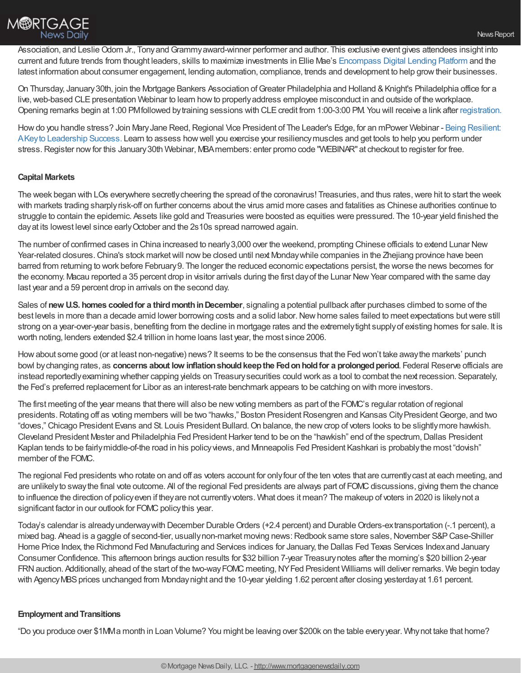Association, and Leslie Odom Jr., Tony and Grammy award-winner performer and author. This exclusive event gives attendees insight into current and future trends from thought leaders, skills to maximize investments in Ellie Mae's [Encompass](https://www.elliemae.com/encompass/encompass-digital-lending-platform) Digital Lending Platform and the latest information about consumer engagement, lending automation, compliance, trends and development to help growtheir businesses.

On Thursday, January 30th, join the Mortgage Bankers Association of Greater Philadelphia and Holland & Knight's Philadelphia office for a live, web-based CLE presentation Webinar to learn how to properly address employee misconduct in and outside of the workplace. Opening remarks begin at 1:00 PMfollowed by training sessions with CLE credit from 1:00-3:00 PM. You will receive a link after [registration.](https://mbagp.org/meetinginfo.php?id=24&ts=1578417336)

How do you handle stress? Join Mary Jane Reed, Regional Vice President of The Leader's Edge, for an mPower Webinar - Being Resilient: AKeyto Leadership Success. Learn to assess howwell you exercise your [resiliencymuscles](https://www.mba.org/store/events/webinar/mpower-presents-being-resilient-a-key-to-leadership-success?utm_source=Informz&utm_medium=Email&utm_campaign=mba%252Eorg#_zsHhMNA1_zl141W5) and get tools to help you perform under stress. Register now for this January 30th Webinar, MBA members: enter promo code "WEBINAR" at checkout to register for free.

# **Capital Markets**

The week began with LOs everywhere secretly cheering the spread of the coronavirus! Treasuries, and thus rates, were hit to start the week with markets trading sharplyrisk-off on further concerns about the virus amid more cases and fatalities as Chinese authorities continue to struggle to contain the epidemic. Assets like gold and Treasuries were boosted as equities were pressured. The 10-year yield finished the dayat its lowest level since earlyOctober and the 2s10s spread narrowed again.

The number of confirmed cases in China increased to nearly3,000 over the weekend, prompting Chinese officials to extend Lunar New Year-related closures. China's stock market will now be closed until next Monday while companies in the Zhejiang province have been barred from returning to work before February9. The longer the reduced economic expectations persist, the worse the news becomes for the economy. Macau reported a 35 percent drop in visitor arrivals during the first day of the Lunar New Year compared with the same day last year and a 59 percent drop in arrivals on the second day.

Sales of **new U.S. homes cooled for a third month in December**, signaling a potential pullback after purchases climbed to some of the best levels in more than a decade amid lower borrowing costs and a solid labor. New home sales failed to meet expectations but were still strong on a year-over-year basis, benefiting from the decline in mortgage rates and the extremelytight supplyof existing homes for sale. It is worth noting, lenders extended \$2.4 trillion in home loans last year, the most since 2006.

Howabout some good (or at least non-negative) news? It seems to be the consensus that the Fed won't take awaythe markets' punch bowl bychanging rates, as **concerns about low inflationshouldkeepthe Fedonholdfor a prolongedperiod**. Federal Reserve officials are instead reportedlyexamining whether capping yields on Treasurysecurities could work as a tool to combat the next recession. Separately, the Fed's preferred replacement for Libor as an interest-rate benchmark appears to be catching on with more investors.

The first meeting of the year means that there will also be new voting members as part of the FOMC's regular rotation of regional presidents. Rotating off as voting members will be two "hawks," Boston President Rosengren and Kansas City President George, and two "doves," Chicago President Evans and St. Louis President Bullard. On balance, the new crop of voters looks to be slightly more hawkish. Cleveland President Mester and Philadelphia Fed President Harker tend to be on the "hawkish" end of the spectrum, Dallas President Kaplan tends to be fairly middle-of-the road in his policy views, and Minneapolis Fed President Kashkari is probably the most "dovish" member of the FOMC.

The regional Fed presidents who rotate on and off as voters account for onlyfour of the ten votes that are currentlycast at each meeting, and are unlikely to sway the final vote outcome. All of the regional Fed presidents are always part of FOMC discussions, giving them the chance to influence the direction of policyeven if theyare not currentlyvoters. What does it mean? The makeup of voters in 2020 is likelynot a significant factor in our outlook for FOMC policy this year.

Today's calendar is already underway with December Durable Orders (+2.4 percent) and Durable Orders-extransportation (-.1 percent), a mixed bag. Ahead is a gaggle of second-tier, usually non-market moving news: Redbook same store sales, November S&P Case-Shiller Home Price Index, the Richmond Fed Manufacturing and Services indices for January, the Dallas Fed Texas Services Indexand January Consumer Confidence. This afternoon brings auction results for \$32 billion 7-year Treasurynotes after the morning's \$20 billion 2-year FRN auction. Additionally, ahead of the start of the two-way FOMC meeting, NY Fed President Williams will deliver remarks. We begin today with Agency MBS prices unchanged from Monday night and the 10-year yielding 1.62 percent after closing yesterday at 1.61 percent.

#### **Employment and Transitions**

"Do you produce over \$1MMa month in Loan Volume? You might be leaving over \$200k on the table everyyear. Whynot take that home?